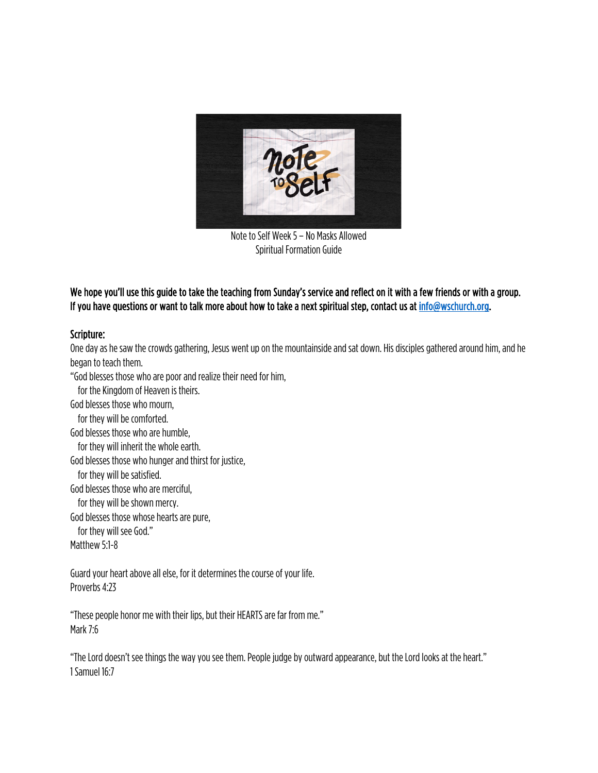

Note to Self Week 5 – No Masks Allowed Spiritual Formation Guide

## We hope you'll use this guide to take the teaching from Sunday's service and reflect on it with a few friends or with a group. If you have questions or want to talk more about how to take a next spiritual step, contact us at info@wschurch.org.

## Scripture:

One day as he saw the crowds gathering, Jesus went up on the mountainside and sat down. His disciples gathered around him, and he began to teach them. "God blesses those who are poor and realize their need for him, for the Kingdom of Heaven is theirs. God blesses those who mourn, for they will be comforted. God blesses those who are humble, for they will inherit the whole earth. God blesses those who hunger and thirst for justice, for they will be satisfied. God blesses those who are merciful, for they will be shown mercy. God blesses those whose hearts are pure, for they will see God." Matthew 5:1-8

Guard your heart above all else, for it determines the course of your life. Proverbs 4:23

"These people honor me with their lips, but their HEARTS are far from me." Mark 7:6

"The Lord doesn't see things the way you see them. People judge by outward appearance, but the Lord looks at the heart." 1 Samuel 16:7